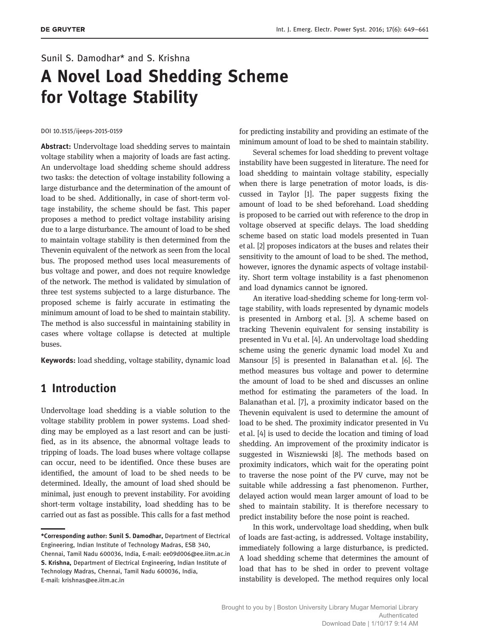# Sunil S. Damodhar\* and S. Krishna A Novel Load Shedding Scheme for Voltage Stability

#### DOI 10.1515/ijeeps-2015-0159

Abstract: Undervoltage load shedding serves to maintain voltage stability when a majority of loads are fast acting. An undervoltage load shedding scheme should address two tasks: the detection of voltage instability following a large disturbance and the determination of the amount of load to be shed. Additionally, in case of short-term voltage instability, the scheme should be fast. This paper proposes a method to predict voltage instability arising due to a large disturbance. The amount of load to be shed to maintain voltage stability is then determined from the Thevenin equivalent of the network as seen from the local bus. The proposed method uses local measurements of bus voltage and power, and does not require knowledge of the network. The method is validated by simulation of three test systems subjected to a large disturbance. The proposed scheme is fairly accurate in estimating the minimum amount of load to be shed to maintain stability. The method is also successful in maintaining stability in cases where voltage collapse is detected at multiple buses.

Keywords: load shedding, voltage stability, dynamic load

# 1 Introduction

Undervoltage load shedding is a viable solution to the voltage stability problem in power systems. Load shedding may be employed as a last resort and can be justified, as in its absence, the abnormal voltage leads to tripping of loads. The load buses where voltage collapse can occur, need to be identified. Once these buses are identified, the amount of load to be shed needs to be determined. Ideally, the amount of load shed should be minimal, just enough to prevent instability. For avoiding short-term voltage instability, load shedding has to be carried out as fast as possible. This calls for a fast method for predicting instability and providing an estimate of the minimum amount of load to be shed to maintain stability.

Several schemes for load shedding to prevent voltage instability have been suggested in literature. The need for load shedding to maintain voltage stability, especially when there is large penetration of motor loads, is discussed in Taylor [1]. The paper suggests fixing the amount of load to be shed beforehand. Load shedding is proposed to be carried out with reference to the drop in voltage observed at specific delays. The load shedding scheme based on static load models presented in Tuan et al. [2] proposes indicators at the buses and relates their sensitivity to the amount of load to be shed. The method, however, ignores the dynamic aspects of voltage instability. Short term voltage instability is a fast phenomenon and load dynamics cannot be ignored.

An iterative load-shedding scheme for long-term voltage stability, with loads represented by dynamic models is presented in Arnborg et al. [3]. A scheme based on tracking Thevenin equivalent for sensing instability is presented in Vu et al. [4]. An undervoltage load shedding scheme using the generic dynamic load model Xu and Mansour [5] is presented in Balanathan et al. [6]. The method measures bus voltage and power to determine the amount of load to be shed and discusses an online method for estimating the parameters of the load. In Balanathan et al. [7], a proximity indicator based on the Thevenin equivalent is used to determine the amount of load to be shed. The proximity indicator presented in Vu et al. [4] is used to decide the location and timing of load shedding. An improvement of the proximity indicator is suggested in Wiszniewski [8]. The methods based on proximity indicators, which wait for the operating point to traverse the nose point of the PV curve, may not be suitable while addressing a fast phenomenon. Further, delayed action would mean larger amount of load to be shed to maintain stability. It is therefore necessary to predict instability before the nose point is reached.

In this work, undervoltage load shedding, when bulk of loads are fast-acting, is addressed. Voltage instability, immediately following a large disturbance, is predicted. A load shedding scheme that determines the amount of load that has to be shed in order to prevent voltage instability is developed. The method requires only local

<sup>\*</sup>Corresponding author: Sunil S. Damodhar, Department of Electrical Engineering, Indian Institute of Technology Madras, ESB 340, Chennai, Tamil Nadu 600036, India, E-mail: ee09d006@ee.iitm.ac.in

S. Krishna, Department of Electrical Engineering, Indian Institute of Technology Madras, Chennai, Tamil Nadu 600036, India, E-mail: krishnas@ee.iitm.ac.in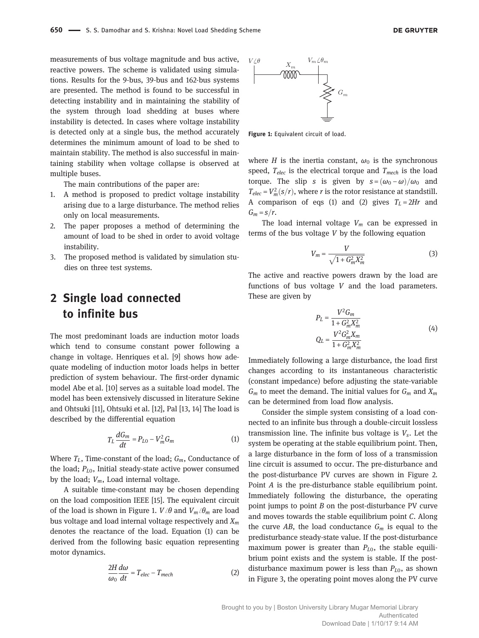measurements of bus voltage magnitude and bus active, reactive powers. The scheme is validated using simulations. Results for the 9-bus, 39-bus and 162-bus systems are presented. The method is found to be successful in detecting instability and in maintaining the stability of the system through load shedding at buses where instability is detected. In cases where voltage instability is detected only at a single bus, the method accurately determines the minimum amount of load to be shed to maintain stability. The method is also successful in maintaining stability when voltage collapse is observed at multiple buses.

The main contributions of the paper are:

- 1. A method is proposed to predict voltage instability arising due to a large disturbance. The method relies only on local measurements.
- 2. The paper proposes a method of determining the amount of load to be shed in order to avoid voltage instability.
- 3. The proposed method is validated by simulation studies on three test systems.

# 2 Single load connected to infinite bus

The most predominant loads are induction motor loads which tend to consume constant power following a change in voltage. Henriques et al. [9] shows how adequate modeling of induction motor loads helps in better prediction of system behaviour. The first-order dynamic model Abe et al. [10] serves as a suitable load model. The model has been extensively discussed in literature Sekine and Ohtsuki [11], Ohtsuki et al. [12], Pal [13, 14] The load is described by the differential equation

$$
T_L \frac{dG_m}{dt} = P_{L0} - V_m^2 G_m \tag{1}
$$

Where  $T_L$ , Time-constant of the load;  $G_m$ , Conductance of the load;  $P_{L0}$ , Initial steady-state active power consumed by the load;  $V_m$ , Load internal voltage.

A suitable time-constant may be chosen depending on the load composition IEEE [15]. The equivalent circuit of the load is shown in Figure 1.  $V/\theta$  and  $V_m/\theta_m$  are load bus voltage and load internal voltage respectively and  $X_m$ denotes the reactance of the load. Equation (1) can be derived from the following basic equation representing motor dynamics.

$$
\frac{2H}{\omega_0}\frac{d\omega}{dt} = T_{elec} - T_{mech}
$$
 (2)



Figure 1: Equivalent circuit of load.

where H is the inertia constant,  $\omega_0$  is the synchronous speed,  $T_{elec}$  is the electrical torque and  $T_{mech}$  is the load torque. The slip s is given by  $s = (\omega_0 - \omega)/\omega_0$  and  $T_{elec} = V_m^2(s/r)$ , where *r* is the rotor resistance at standstill. A comparison of eqs (1) and (2) gives  $T_L = 2Hr$  and  $G_m = s/r$ .

The load internal voltage  $V_m$  can be expressed in terms of the bus voltage V by the following equation

$$
V_m = \frac{V}{\sqrt{1 + G_m^2 X_m^2}}\tag{3}
$$

The active and reactive powers drawn by the load are functions of bus voltage  $V$  and the load parameters. These are given by

$$
P_L = \frac{V^2 G_m}{1 + G_m^2 X_m^2}
$$
  
\n
$$
Q_L = \frac{V^2 G_m^2 X_m}{1 + G_m^2 X_m^2}
$$
\n(4)

Immediately following a large disturbance, the load first changes according to its instantaneous characteristic (constant impedance) before adjusting the state-variable  $G_m$  to meet the demand. The initial values for  $G_m$  and  $X_m$ can be determined from load flow analysis.

Consider the simple system consisting of a load connected to an infinite bus through a double-circuit lossless transmission line. The infinite bus voltage is  $V_s$ . Let the system be operating at the stable equilibrium point. Then, a large disturbance in the form of loss of a transmission line circuit is assumed to occur. The pre-disturbance and the post-disturbance PV curves are shown in Figure 2. Point A is the pre-disturbance stable equilibrium point. Immediately following the disturbance, the operating point jumps to point  $B$  on the post-disturbance PV curve and moves towards the stable equilibrium point C. Along the curve AB, the load conductance  $G_m$  is equal to the predisturbance steady-state value. If the post-disturbance maximum power is greater than  $P_{L0}$ , the stable equilibrium point exists and the system is stable. If the postdisturbance maximum power is less than  $P_{L0}$ , as shown in Figure 3, the operating point moves along the PV curve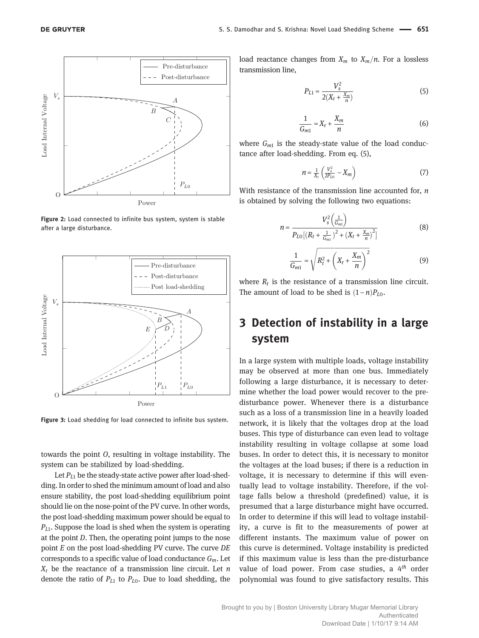

Figure 2: Load connected to infinite bus system, system is stable after a large disturbance.



Figure 3: Load shedding for load connected to infinite bus system.

towards the point O, resulting in voltage instability. The system can be stabilized by load-shedding.

Let  $P_{L1}$  be the steady-state active power after load-shedding. In order to shed the minimum amount of load and also ensure stability, the post load-shedding equilibrium point should lie on the nose-point of the PV curve. In other words, the post load-shedding maximum power should be equal to  $P_{L1}$ . Suppose the load is shed when the system is operating at the point D. Then, the operating point jumps to the nose point E on the post load-shedding PV curve. The curve DE corresponds to a specific value of load conductance  $G_m$ . Let  $X_t$  be the reactance of a transmission line circuit. Let n denote the ratio of  $P_{L1}$  to  $P_{L0}$ . Due to load shedding, the load reactance changes from  $X_m$  to  $X_m/n$ . For a lossless transmission line,

$$
P_{L1} = \frac{V_s^2}{2(X_t + \frac{X_m}{n})}
$$
(5)

$$
\frac{1}{G_{m1}} = X_t + \frac{X_m}{n} \tag{6}
$$

where  $G_{m1}$  is the steady-state value of the load conductance after load-shedding. From eq. (5),

$$
n = \frac{1}{X_t} \left( \frac{V_s^2}{2P_{L0}} - X_m \right) \tag{7}
$$

With resistance of the transmission line accounted for,  $n$ is obtained by solving the following two equations:

$$
n = \frac{V_s^2 \left(\frac{1}{G_{m1}}\right)}{P_{L0} \left[ \left(R_t + \frac{1}{G_{m1}}\right)^2 + \left(X_t + \frac{X_m}{n}\right)^2 \right]}
$$
(8)

$$
\frac{1}{G_{m1}} = \sqrt{R_t^2 + \left(X_t + \frac{X_m}{n}\right)^2} \tag{9}
$$

where  $R_t$  is the resistance of a transmission line circuit. The amount of load to be shed is  $(1 - n)P_{L0}$ .

# 3 Detection of instability in a large system

In a large system with multiple loads, voltage instability may be observed at more than one bus. Immediately following a large disturbance, it is necessary to determine whether the load power would recover to the predisturbance power. Whenever there is a disturbance such as a loss of a transmission line in a heavily loaded network, it is likely that the voltages drop at the load buses. This type of disturbance can even lead to voltage instability resulting in voltage collapse at some load buses. In order to detect this, it is necessary to monitor the voltages at the load buses; if there is a reduction in voltage, it is necessary to determine if this will eventually lead to voltage instability. Therefore, if the voltage falls below a threshold (predefined) value, it is presumed that a large disturbance might have occurred. In order to determine if this will lead to voltage instability, a curve is fit to the measurements of power at different instants. The maximum value of power on this curve is determined. Voltage instability is predicted if this maximum value is less than the pre-disturbance value of load power. From case studies, a  $4<sup>th</sup>$  order polynomial was found to give satisfactory results. This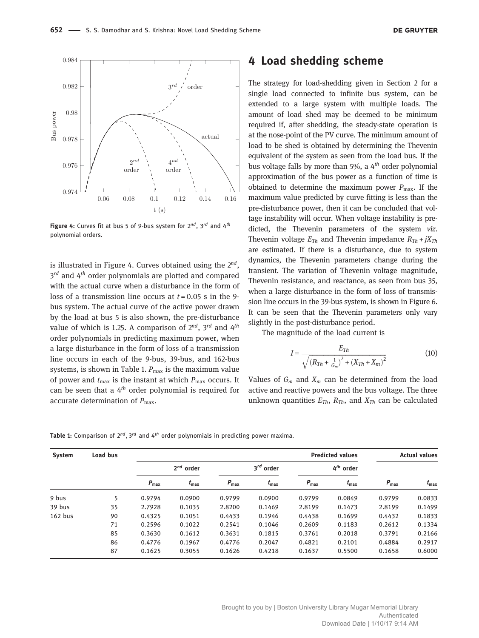

Figure 4: Curves fit at bus 5 of 9-bus system for  $2^{nd}$ ,  $3^{rd}$  and  $4^{th}$ polynomial orders.

is illustrated in Figure 4. Curves obtained using the  $2^{nd}$ ,  $3^{rd}$  and  $4^{th}$  order polynomials are plotted and compared with the actual curve when a disturbance in the form of loss of a transmission line occurs at  $t = 0.05$  s in the 9bus system. The actual curve of the active power drawn by the load at bus 5 is also shown, the pre-disturbance value of which is 1.25. A comparison of  $2^{nd}$ ,  $3^{rd}$  and  $4^{th}$ order polynomials in predicting maximum power, when a large disturbance in the form of loss of a transmission line occurs in each of the 9-bus, 39-bus, and 162-bus systems, is shown in Table 1.  $P_{\text{max}}$  is the maximum value of power and  $t_{\text{max}}$  is the instant at which  $P_{\text{max}}$  occurs. It can be seen that a  $4<sup>th</sup>$  order polynomial is required for accurate determination of  $P_{\text{max}}$ .

# 4 Load shedding scheme

The strategy for load-shedding given in Section 2 for a single load connected to infinite bus system, can be extended to a large system with multiple loads. The amount of load shed may be deemed to be minimum required if, after shedding, the steady-state operation is at the nose-point of the PV curve. The minimum amount of load to be shed is obtained by determining the Thevenin equivalent of the system as seen from the load bus. If the bus voltage falls by more than 5%, a  $4<sup>th</sup>$  order polynomial approximation of the bus power as a function of time is obtained to determine the maximum power  $P_{\text{max}}$ . If the maximum value predicted by curve fitting is less than the pre-disturbance power, then it can be concluded that voltage instability will occur. When voltage instability is predicted, the Thevenin parameters of the system viz. Thevenin voltage  $E_{Th}$  and Thevenin impedance  $R_{Th} + jX_{Th}$ are estimated. If there is a disturbance, due to system dynamics, the Thevenin parameters change during the transient. The variation of Thevenin voltage magnitude, Thevenin resistance, and reactance, as seen from bus 35, when a large disturbance in the form of loss of transmission line occurs in the 39-bus system, is shown in Figure 6. It can be seen that the Thevenin parameters only vary slightly in the post-disturbance period.

The magnitude of the load current is

$$
I = \frac{E_{Th}}{\sqrt{(R_{Th} + \frac{1}{G_m})^2 + (X_{Th} + X_m)^2}}
$$
(10)

Values of  $G_m$  and  $X_m$  can be determined from the load active and reactive powers and the bus voltage. The three unknown quantities  $E_{Th}$ ,  $R_{Th}$ , and  $X_{Th}$  can be calculated

Table 1: Comparison of  $2^{nd}$ ,  $3^{rd}$  and  $4^{th}$  order polynomials in predicting power maxima.

| <b>System</b> | Load bus |                  |               |                  |               |                  | <b>Predicted values</b> |                  | <b>Actual values</b> |  |
|---------------|----------|------------------|---------------|------------------|---------------|------------------|-------------------------|------------------|----------------------|--|
|               |          | $2^{nd}$ order   |               | $3^{rd}$ order   |               | $4^{th}$ order   |                         |                  |                      |  |
|               |          | $P_{\text{max}}$ | $t_{\rm max}$ | $P_{\text{max}}$ | $t_{\rm max}$ | $P_{\text{max}}$ | $t_{\rm max}$           | $P_{\text{max}}$ | $t_{\rm max}$        |  |
| 9 bus         | 5        | 0.9794           | 0.0900        | 0.9799           | 0.0900        | 0.9799           | 0.0849                  | 0.9799           | 0.0833               |  |
| 39 bus        | 35       | 2.7928           | 0.1035        | 2.8200           | 0.1469        | 2.8199           | 0.1473                  | 2.8199           | 0.1499               |  |
| $162$ bus     | 90       | 0.4325           | 0.1051        | 0.4433           | 0.1946        | 0.4438           | 0.1699                  | 0.4432           | 0.1833               |  |
|               | 71       | 0.2596           | 0.1022        | 0.2541           | 0.1046        | 0.2609           | 0.1183                  | 0.2612           | 0.1334               |  |
|               | 85       | 0.3630           | 0.1612        | 0.3631           | 0.1815        | 0.3761           | 0.2018                  | 0.3791           | 0.2166               |  |
|               | 86       | 0.4776           | 0.1967        | 0.4776           | 0.2047        | 0.4821           | 0.2101                  | 0.4884           | 0.2917               |  |
|               | 87       | 0.1625           | 0.3055        | 0.1626           | 0.4218        | 0.1637           | 0.5500                  | 0.1658           | 0.6000               |  |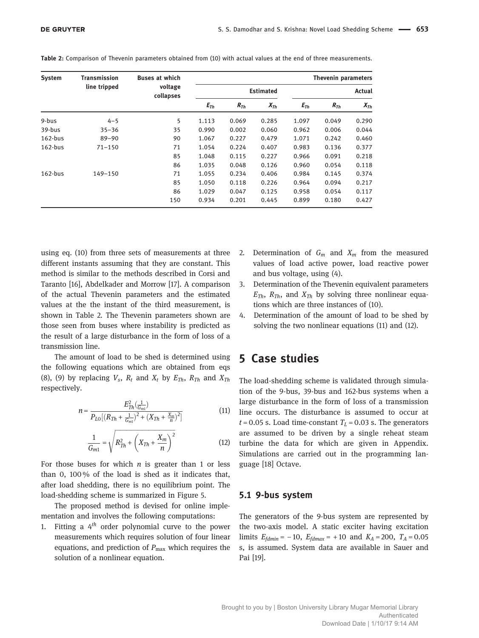| <b>System</b> | <b>Transmission</b> | <b>Buses at which</b> | Thevenin parameters |          |          |          |          |          |  |
|---------------|---------------------|-----------------------|---------------------|----------|----------|----------|----------|----------|--|
|               | line tripped        | voltage<br>collapses  | <b>Estimated</b>    |          |          | Actual   |          |          |  |
|               |                     |                       | $E_{Th}$            | $R_{Th}$ | $X_{Th}$ | $E_{Th}$ | $R_{Th}$ | $X_{Th}$ |  |
| 9-bus         | $4 - 5$             | 5                     | 1.113               | 0.069    | 0.285    | 1.097    | 0.049    | 0.290    |  |
| 39-bus        | $35 - 36$           | 35                    | 0.990               | 0.002    | 0.060    | 0.962    | 0.006    | 0.044    |  |
| $162-bus$     | $89 - 90$           | 90                    | 1.067               | 0.227    | 0.479    | 1.071    | 0.242    | 0.460    |  |
| $162-bus$     | $71 - 150$          | 71                    | 1.054               | 0.224    | 0.407    | 0.983    | 0.136    | 0.377    |  |
|               |                     | 85                    | 1.048               | 0.115    | 0.227    | 0.966    | 0.091    | 0.218    |  |
|               |                     | 86                    | 1.035               | 0.048    | 0.126    | 0.960    | 0.054    | 0.118    |  |
| $162-bus$     | 149-150             | 71                    | 1.055               | 0.234    | 0.406    | 0.984    | 0.145    | 0.374    |  |
|               |                     | 85                    | 1.050               | 0.118    | 0.226    | 0.964    | 0.094    | 0.217    |  |
|               |                     | 86                    | 1.029               | 0.047    | 0.125    | 0.958    | 0.054    | 0.117    |  |
|               |                     | 150                   | 0.934               | 0.201    | 0.445    | 0.899    | 0.180    | 0.427    |  |

Table 2: Comparison of Thevenin parameters obtained from (10) with actual values at the end of three measurements.

using eq. (10) from three sets of measurements at three different instants assuming that they are constant. This method is similar to the methods described in Corsi and Taranto [16], Abdelkader and Morrow [17]. A comparison of the actual Thevenin parameters and the estimated values at the the instant of the third measurement, is shown in Table 2. The Thevenin parameters shown are those seen from buses where instability is predicted as the result of a large disturbance in the form of loss of a transmission line.

The amount of load to be shed is determined using the following equations which are obtained from eqs (8), (9) by replacing  $V_s$ ,  $R_t$  and  $X_t$  by  $E_{Th}$ ,  $R_{Th}$  and  $X_{Th}$ respectively.

$$
n = \frac{E_{Th}^2(\frac{1}{G_{m1}})}{P_{LO}[(R_{Th} + \frac{1}{G_{m1}})^2 + (X_{Th} + \frac{X_m}{n})^2]}
$$
(11)

$$
\frac{1}{G_{m1}} = \sqrt{R_{Th}^2 + \left(X_{Th} + \frac{X_m}{n}\right)^2}
$$
 (12)

For those buses for which  $n$  is greater than 1 or less than 0, 100 % of the load is shed as it indicates that, after load shedding, there is no equilibrium point. The load-shedding scheme is summarized in Figure 5.

The proposed method is devised for online implementation and involves the following computations:

1. Fitting a  $4<sup>th</sup>$  order polynomial curve to the power measurements which requires solution of four linear equations, and prediction of  $P_{\text{max}}$  which requires the solution of a nonlinear equation.

- 2. Determination of  $G_m$  and  $X_m$  from the measured values of load active power, load reactive power and bus voltage, using (4).
- 3. Determination of the Thevenin equivalent parameters  $E_{Th}$ ,  $R_{Th}$ , and  $X_{Th}$  by solving three nonlinear equations which are three instances of (10).
- 4. Determination of the amount of load to be shed by solving the two nonlinear equations (11) and (12).

# 5 Case studies

The load-shedding scheme is validated through simulation of the 9-bus, 39-bus and 162-bus systems when a large disturbance in the form of loss of a transmission line occurs. The disturbance is assumed to occur at  $t = 0.05$  s. Load time-constant  $T<sub>L</sub> = 0.03$  s. The generators are assumed to be driven by a single reheat steam turbine the data for which are given in Appendix. Simulations are carried out in the programming language [18] Octave.

#### 5.1 9-bus system

The generators of the 9-bus system are represented by the two-axis model. A static exciter having excitation limits  $E_{fdmin} = -10$ ,  $E_{fdmax} = +10$  and  $K_A = 200$ ,  $T_A = 0.05$ s, is assumed. System data are available in Sauer and Pai [19].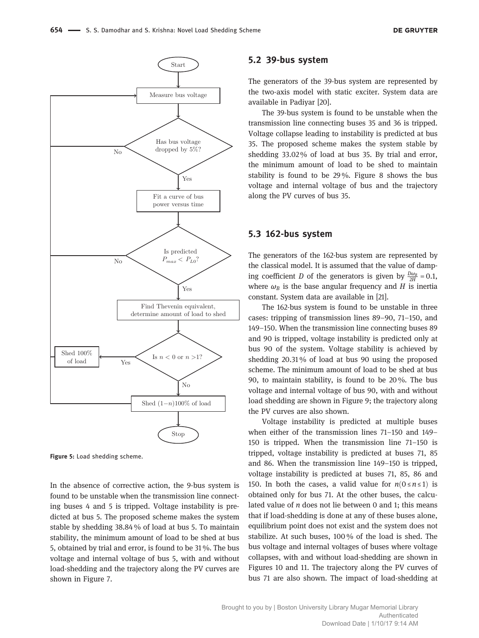

Figure 5: Load shedding scheme.

In the absence of corrective action, the 9-bus system is found to be unstable when the transmission line connecting buses 4 and 5 is tripped. Voltage instability is predicted at bus 5. The proposed scheme makes the system stable by shedding 38.84 % of load at bus 5. To maintain stability, the minimum amount of load to be shed at bus 5, obtained by trial and error, is found to be 31 %. The bus voltage and internal voltage of bus 5, with and without load-shedding and the trajectory along the PV curves are shown in Figure 7.

#### 5.2 39-bus system

The generators of the 39-bus system are represented by the two-axis model with static exciter. System data are available in Padiyar [20].

The 39-bus system is found to be unstable when the transmission line connecting buses 35 and 36 is tripped. Voltage collapse leading to instability is predicted at bus 35. The proposed scheme makes the system stable by shedding 33.02 % of load at bus 35. By trial and error, the minimum amount of load to be shed to maintain stability is found to be 29 %. Figure 8 shows the bus voltage and internal voltage of bus and the trajectory along the PV curves of bus 35.

#### 5.3 162-bus system

The generators of the 162-bus system are represented by the classical model. It is assumed that the value of damping coefficient *D* of the generators is given by  $\frac{D\omega_B}{2H} = 0.1$ , where  $\omega_B$  is the base angular frequency and H is inertia constant. System data are available in [21].

The 162-bus system is found to be unstable in three cases: tripping of transmission lines 89–90, 71–150, and 149–150. When the transmission line connecting buses 89 and 90 is tripped, voltage instability is predicted only at bus 90 of the system. Voltage stability is achieved by shedding 20.31 % of load at bus 90 using the proposed scheme. The minimum amount of load to be shed at bus 90, to maintain stability, is found to be 20 %. The bus voltage and internal voltage of bus 90, with and without load shedding are shown in Figure 9; the trajectory along the PV curves are also shown.

Voltage instability is predicted at multiple buses when either of the transmission lines 71–150 and 149– 150 is tripped. When the transmission line 71–150 is tripped, voltage instability is predicted at buses 71, 85 and 86. When the transmission line 149–150 is tripped, voltage instability is predicted at buses 71, 85, 86 and 150. In both the cases, a valid value for  $n(0 \le n \le 1)$  is obtained only for bus 71. At the other buses, the calculated value of n does not lie between 0 and 1; this means that if load-shedding is done at any of these buses alone, equilibrium point does not exist and the system does not stabilize. At such buses, 100 % of the load is shed. The bus voltage and internal voltages of buses where voltage collapses, with and without load-shedding are shown in Figures 10 and 11. The trajectory along the PV curves of bus 71 are also shown. The impact of load-shedding at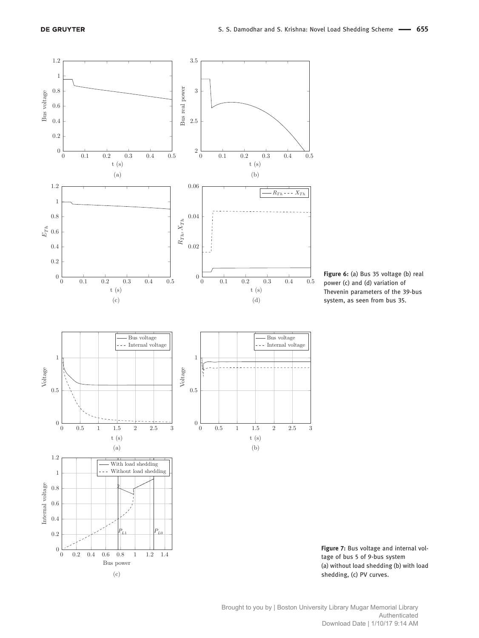





Brought to you by | Boston University Library Mugar Memorial Library Authenticated Download Date | 1/10/17 9:14 AM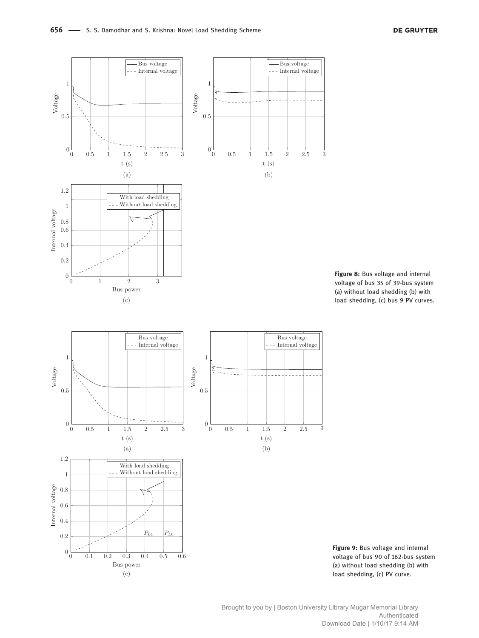



Figure 9: Bus voltage and internal voltage of bus 90 of 162-bus system (a) without load shedding (b) with load shedding, (c) PV curve.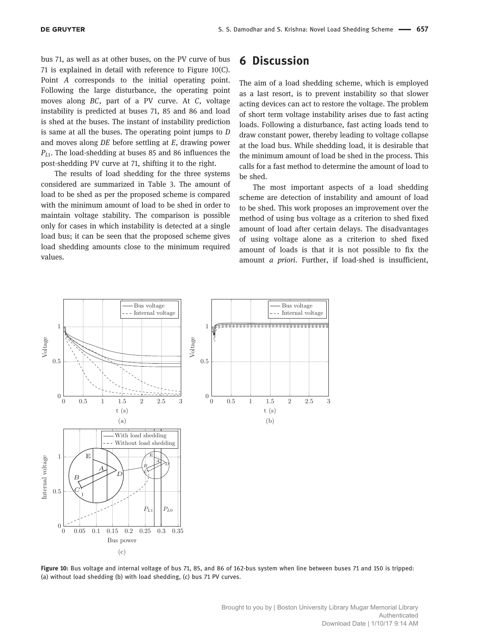bus 71, as well as at other buses, on the PV curve of bus 71 is explained in detail with reference to Figure 10(C). Point A corresponds to the initial operating point. Following the large disturbance, the operating point moves along BC, part of a PV curve. At C, voltage instability is predicted at buses 71, 85 and 86 and load is shed at the buses. The instant of instability prediction is same at all the buses. The operating point jumps to D and moves along DE before settling at E, drawing power  $P_{L1}$ . The load-shedding at buses 85 and 86 influences the post-shedding PV curve at 71, shifting it to the right.

The results of load shedding for the three systems considered are summarized in Table 3. The amount of load to be shed as per the proposed scheme is compared with the minimum amount of load to be shed in order to maintain voltage stability. The comparison is possible only for cases in which instability is detected at a single load bus; it can be seen that the proposed scheme gives load shedding amounts close to the minimum required values.

### 6 Discussion

The aim of a load shedding scheme, which is employed as a last resort, is to prevent instability so that slower acting devices can act to restore the voltage. The problem of short term voltage instability arises due to fast acting loads. Following a disturbance, fast acting loads tend to draw constant power, thereby leading to voltage collapse at the load bus. While shedding load, it is desirable that the minimum amount of load be shed in the process. This calls for a fast method to determine the amount of load to be shed.

The most important aspects of a load shedding scheme are detection of instability and amount of load to be shed. This work proposes an improvement over the method of using bus voltage as a criterion to shed fixed amount of load after certain delays. The disadvantages of using voltage alone as a criterion to shed fixed amount of loads is that it is not possible to fix the amount *a priori*. Further, if load-shed is insufficient,



Figure 10: Bus voltage and internal voltage of bus 71, 85, and 86 of 162-bus system when line between buses 71 and 150 is tripped: (a) without load shedding (b) with load shedding, (c) bus 71 PV curves.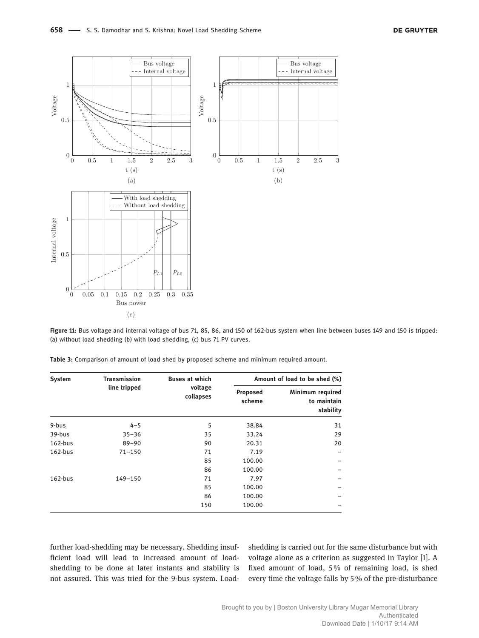

Figure 11: Bus voltage and internal voltage of bus 71, 85, 86, and 150 of 162-bus system when line between buses 149 and 150 is tripped: (a) without load shedding (b) with load shedding, (c) bus 71 PV curves.

| <b>System</b> | <b>Transmission</b> | <b>Buses at which</b> | Amount of load to be shed (%) |                                              |  |
|---------------|---------------------|-----------------------|-------------------------------|----------------------------------------------|--|
|               | line tripped        | voltage<br>collapses  | Proposed<br>scheme            | Minimum required<br>to maintain<br>stability |  |
| 9-bus         | $4 - 5$             | 5                     | 38.84                         | 31                                           |  |
| 39-bus        | $35 - 36$           | 35                    | 33.24                         | 29                                           |  |
| $162-bus$     | $89 - 90$           | 90                    | 20.31                         | 20                                           |  |
| $162-bus$     | $71 - 150$          | 71                    | 7.19                          |                                              |  |
|               |                     | 85                    | 100.00                        |                                              |  |
|               |                     | 86                    | 100.00                        |                                              |  |
| $162-bus$     | 149-150             | 71                    | 7.97                          |                                              |  |
|               |                     | 85                    | 100.00                        |                                              |  |
|               |                     | 86                    | 100.00                        |                                              |  |
|               |                     | 150                   | 100.00                        |                                              |  |

Table 3: Comparison of amount of load shed by proposed scheme and minimum required amount.

further load-shedding may be necessary. Shedding insufficient load will lead to increased amount of loadshedding to be done at later instants and stability is not assured. This was tried for the 9-bus system. Loadshedding is carried out for the same disturbance but with voltage alone as a criterion as suggested in Taylor [1]. A fixed amount of load, 5 % of remaining load, is shed every time the voltage falls by 5 % of the pre-disturbance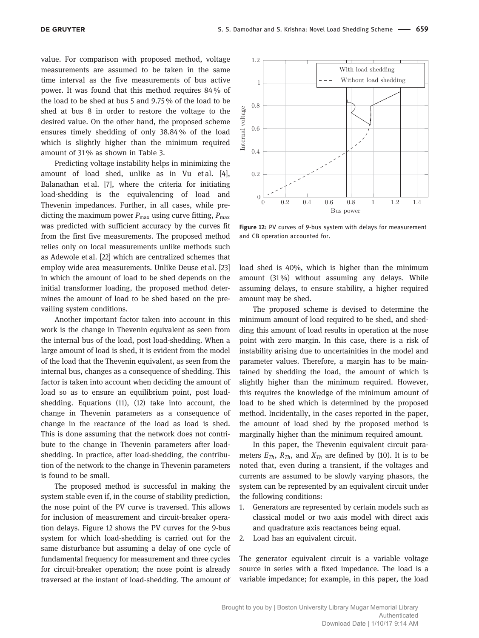value. For comparison with proposed method, voltage measurements are assumed to be taken in the same time interval as the five measurements of bus active power. It was found that this method requires 84 % of the load to be shed at bus 5 and 9.75 % of the load to be shed at bus 8 in order to restore the voltage to the desired value. On the other hand, the proposed scheme ensures timely shedding of only 38.84 % of the load which is slightly higher than the minimum required amount of 31 % as shown in Table 3.

Predicting voltage instability helps in minimizing the amount of load shed, unlike as in Vu et al. [4], Balanathan et al. [7], where the criteria for initiating load-shedding is the equivalencing of load and Thevenin impedances. Further, in all cases, while predicting the maximum power  $P_{\text{max}}$  using curve fitting,  $P_{\text{max}}$ was predicted with sufficient accuracy by the curves fit from the first five measurements. The proposed method relies only on local measurements unlike methods such as Adewole et al. [22] which are centralized schemes that employ wide area measurements. Unlike Deuse et al. [23] in which the amount of load to be shed depends on the initial transformer loading, the proposed method determines the amount of load to be shed based on the prevailing system conditions.

Another important factor taken into account in this work is the change in Thevenin equivalent as seen from the internal bus of the load, post load-shedding. When a large amount of load is shed, it is evident from the model of the load that the Thevenin equivalent, as seen from the internal bus, changes as a consequence of shedding. This factor is taken into account when deciding the amount of load so as to ensure an equilibrium point, post loadshedding. Equations (11), (12) take into account, the change in Thevenin parameters as a consequence of change in the reactance of the load as load is shed. This is done assuming that the network does not contribute to the change in Thevenin parameters after loadshedding. In practice, after load-shedding, the contribution of the network to the change in Thevenin parameters is found to be small.

The proposed method is successful in making the system stable even if, in the course of stability prediction, the nose point of the PV curve is traversed. This allows for inclusion of measurement and circuit-breaker operation delays. Figure 12 shows the PV curves for the 9-bus system for which load-shedding is carried out for the same disturbance but assuming a delay of one cycle of fundamental frequency for measurement and three cycles for circuit-breaker operation; the nose point is already traversed at the instant of load-shedding. The amount of



Figure 12: PV curves of 9-bus system with delays for measurement and CB operation accounted for.

load shed is 40%, which is higher than the minimum amount (31 %) without assuming any delays. While assuming delays, to ensure stability, a higher required amount may be shed.

The proposed scheme is devised to determine the minimum amount of load required to be shed, and shedding this amount of load results in operation at the nose point with zero margin. In this case, there is a risk of instability arising due to uncertainities in the model and parameter values. Therefore, a margin has to be maintained by shedding the load, the amount of which is slightly higher than the minimum required. However, this requires the knowledge of the minimum amount of load to be shed which is determined by the proposed method. Incidentally, in the cases reported in the paper, the amount of load shed by the proposed method is marginally higher than the minimum required amount.

In this paper, the Thevenin equivalent circuit parameters  $E_{Th}$ ,  $R_{Th}$ , and  $X_{Th}$  are defined by (10). It is to be noted that, even during a transient, if the voltages and currents are assumed to be slowly varying phasors, the system can be represented by an equivalent circuit under the following conditions:

- 1. Generators are represented by certain models such as classical model or two axis model with direct axis and quadrature axis reactances being equal.
- 2. Load has an equivalent circuit.

The generator equivalent circuit is a variable voltage source in series with a fixed impedance. The load is a variable impedance; for example, in this paper, the load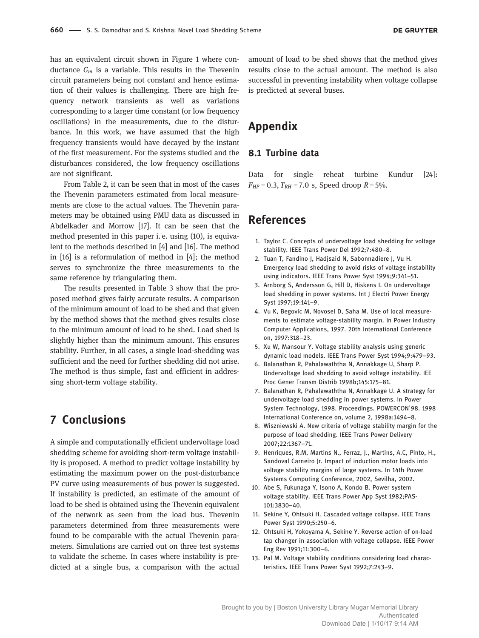has an equivalent circuit shown in Figure 1 where conductance  $G_m$  is a variable. This results in the Thevenin circuit parameters being not constant and hence estimation of their values is challenging. There are high frequency network transients as well as variations corresponding to a larger time constant (or low frequency oscillations) in the measurements, due to the disturbance. In this work, we have assumed that the high frequency transients would have decayed by the instant of the first measurement. For the systems studied and the disturbances considered, the low frequency oscillations are not significant.

From Table 2, it can be seen that in most of the cases the Thevenin parameters estimated from local measurements are close to the actual values. The Thevenin parameters may be obtained using PMU data as discussed in Abdelkader and Morrow [17]. It can be seen that the method presented in this paper i. e. using (10), is equivalent to the methods described in [4] and [16]. The method in [16] is a reformulation of method in [4]; the method serves to synchronize the three measurements to the same reference by triangulating them.

The results presented in Table 3 show that the proposed method gives fairly accurate results. A comparison of the minimum amount of load to be shed and that given by the method shows that the method gives results close to the minimum amount of load to be shed. Load shed is slightly higher than the minimum amount. This ensures stability. Further, in all cases, a single load-shedding was sufficient and the need for further shedding did not arise. The method is thus simple, fast and efficient in addressing short-term voltage stability.

### 7 Conclusions

A simple and computationally efficient undervoltage load shedding scheme for avoiding short-term voltage instability is proposed. A method to predict voltage instability by estimating the maximum power on the post-disturbance PV curve using measurements of bus power is suggested. If instability is predicted, an estimate of the amount of load to be shed is obtained using the Thevenin equivalent of the network as seen from the load bus. Thevenin parameters determined from three measurements were found to be comparable with the actual Thevenin parameters. Simulations are carried out on three test systems to validate the scheme. In cases where instability is predicted at a single bus, a comparison with the actual

amount of load to be shed shows that the method gives results close to the actual amount. The method is also successful in preventing instability when voltage collapse is predicted at several buses.

# Appendix

#### 8.1 Turbine data

Data for single reheat turbine Kundur [24]:  $F_{HP} = 0.3$ ,  $T_{RH} = 7.0$  s, Speed droop  $R = 5\%$ .

### References

- 1. Taylor C. Concepts of undervoltage load shedding for voltage stability. IEEE Trans Power Del 1992;7:480–8.
- 2. Tuan T, Fandino J, Hadjsaid N, Sabonnadiere J, Vu H. Emergency load shedding to avoid risks of voltage instability using indicators. IEEE Trans Power Syst 1994;9:341–51.
- 3. Arnborg S, Andersson G, Hill D, Hiskens I. On undervoltage load shedding in power systems. Int J Electri Power Energy Syst 1997;19:141–9.
- 4. Vu K, Begovic M, Novosel D, Saha M. Use of local measurements to estimate voltage-stability margin. In Power Industry Computer Applications, 1997. 20th International Conference on, 1997:318–23.
- 5. Xu W, Mansour Y. Voltage stability analysis using generic dynamic load models. IEEE Trans Power Syst 1994;9:479–93.
- 6. Balanathan R, Pahalawaththa N, Annakkage U, Sharp P. Undervoltage load shedding to avoid voltage instability. IEE Proc Gener Transm Distrib 1998b;145:175–81.
- 7. Balanathan R, Pahalawaththa N, Annakkage U. A strategy for undervoltage load shedding in power systems. In Power System Technology, 1998. Proceedings. POWERCON'98. 1998 International Conference on, volume 2, 1998a:1494–8.
- 8. Wiszniewski A. New criteria of voltage stability margin for the purpose of load shedding. IEEE Trans Power Delivery 2007;22:1367–71.
- 9. Henriques, R.M, Martins N., Ferraz, J., Martins, A.C, Pinto, H., Sandoval Carneiro Jr. Impact of induction motor loads into voltage stability margins of large systems. In 14th Power Systems Computing Conference, 2002, Sevilha, 2002.
- 10. Abe S, Fukunaga Y, Isono A, Kondo B. Power system voltage stability. IEEE Trans Power App Syst 1982;PAS-101:3830–40.
- 11. Sekine Y, Ohtsuki H. Cascaded voltage collapse. IEEE Trans Power Syst 1990;5:250–6.
- 12. Ohtsuki H, Yokoyama A, Sekine Y. Reverse action of on-load tap changer in association with voltage collapse. IEEE Power Eng Rev 1991;11:300–6.
- 13. Pal M. Voltage stability conditions considering load characteristics. IEEE Trans Power Syst 1992;7:243–9.